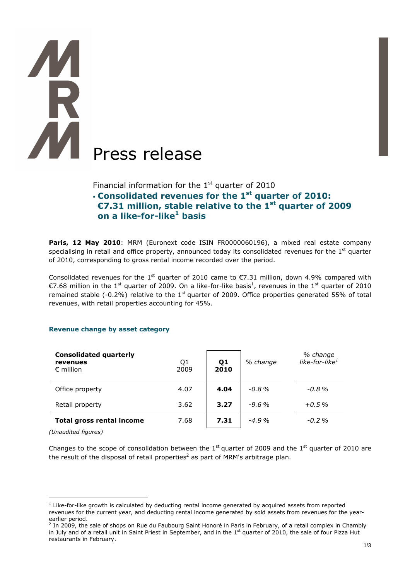# Press release

Financial information for the  $1<sup>st</sup>$  quarter of 2010

# **Consolidated revenues for the 1st quarter of 2010: €7.31 million, stable relative to the 1st quarter of 2009 on a like-for-like<sup>1</sup> basis**

Paris, 12 May 2010: MRM (Euronext code ISIN FR0000060196), a mixed real estate company specialising in retail and office property, announced today its consolidated revenues for the  $1<sup>st</sup>$  quarter of 2010, corresponding to gross rental income recorded over the period.

Consolidated revenues for the 1<sup>st</sup> quarter of 2010 came to  $\epsilon$ 7.31 million, down 4.9% compared with €7.68 million in the 1<sup>st</sup> quarter of 2009. On a like-for-like basis<sup>1</sup>, revenues in the 1<sup>st</sup> quarter of 2010 remained stable (-0.2%) relative to the  $1<sup>st</sup>$  quarter of 2009. Office properties generated 55% of total revenues, with retail properties accounting for 45%.

# **Revenue change by asset category**

| <b>Consolidated quarterly</b><br>revenues<br>$\epsilon$ million | Q1<br>2009 | Q1<br>2010 | % change | % change<br>like-for-like <sup>1</sup> |
|-----------------------------------------------------------------|------------|------------|----------|----------------------------------------|
| Office property                                                 | 4.07       | 4.04       | $-0.8\%$ | $-0.8\%$                               |
| Retail property                                                 | 3.62       | 3.27       | $-9.6\%$ | $+0.5\%$                               |
| <b>Total gross rental income</b>                                | 7.68       | 7.31       | $-4.9%$  | $-0.2\%$                               |

*(Unaudited figures)* 

 $\overline{a}$ 

Changes to the scope of consolidation between the 1st quarter of 2009 and the 1st quarter of 2010 are the result of the disposal of retail properties<sup>2</sup> as part of MRM's arbitrage plan.

 $<sup>1</sup>$  Like-for-like growth is calculated by deducting rental income generated by acquired assets from reported</sup> revenues for the current year, and deducting rental income generated by sold assets from revenues for the yearearlier period.<br><sup>2</sup> In 2009, the sale of shops on Rue du Faubourg Saint Honoré in Paris in February, of a retail complex in Chambly

in July and of a retail unit in Saint Priest in September, and in the  $1<sup>st</sup>$  quarter of 2010, the sale of four Pizza Hut restaurants in February.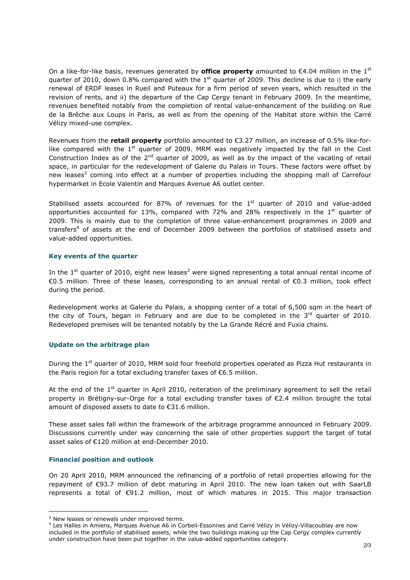On a like-for-like basis, revenues generated by **office property** amounted to  $\epsilon$ 4.04 million in the 1<sup>st</sup> quarter of 2010, down 0.8% compared with the 1<sup>st</sup> quarter of 2009. This decline is due to i) the early renewal of ERDF leases in Rueil and Puteaux for a firm period of seven years, which resulted in the revision of rents, and ii) the departure of the Cap Cergy tenant in February 2009. In the meantime, revenues benefited notably from the completion of rental value-enhancement of the building on Rue de la Brêche aux Loups in Paris, as well as from the opening of the Habitat store within the Carré Vélizy mixed-use complex.

Revenues from the **retail property** portfolio amounted to €3.27 million, an increase of 0.5% like-forlike compared with the  $1<sup>st</sup>$  quarter of 2009. MRM was negatively impacted by the fall in the Cost Construction Index as of the  $2<sup>nd</sup>$  quarter of 2009, as well as by the impact of the vacating of retail space, in particular for the redevelopment of Galerie du Palais in Tours. These factors were offset by new leases<sup>3</sup> coming into effect at a number of properties including the shopping mall of Carrefour hypermarket in Ecole Valentin and Marques Avenue A6 outlet center.

Stabilised assets accounted for 87% of revenues for the  $1<sup>st</sup>$  quarter of 2010 and value-added opportunities accounted for 13%, compared with 72% and 28% respectively in the  $1<sup>st</sup>$  quarter of 2009. This is mainly due to the completion of three value-enhancement programmes in 2009 and transfers<sup>4</sup> of assets at the end of December 2009 between the portfolios of stabilised assets and value-added opportunities.

# **Key events of the quarter**

In the 1st quarter of 2010, eight new leases<sup>3</sup> were signed representing a total annual rental income of €0.5 million. Three of these leases, corresponding to an annual rental of €0.3 million, took effect during the period.

Redevelopment works at Galerie du Palais, a shopping center of a total of 6,500 sqm in the heart of the city of Tours, began in February and are due to be completed in the  $3<sup>rd</sup>$  quarter of 2010. Redeveloped premises will be tenanted notably by the La Grande Récré and Fuxia chains.

# **Update on the arbitrage plan**

During the 1<sup>st</sup> quarter of 2010, MRM sold four freehold properties operated as Pizza Hut restaurants in the Paris region for a total excluding transfer taxes of €6.5 million.

At the end of the  $1<sup>st</sup>$  quarter in April 2010, reiteration of the preliminary agreement to sell the retail property in Brétigny-sur-Orge for a total excluding transfer taxes of €2.4 million brought the total amount of disposed assets to date to €31.6 million.

These asset sales fall within the framework of the arbitrage programme announced in February 2009. Discussions currently under way concerning the sale of other properties support the target of total asset sales of €120 million at end-December 2010.

# **Financial position and outlook**

 $\overline{a}$ 

On 20 April 2010, MRM announced the refinancing of a portfolio of retail properties allowing for the repayment of €93.7 million of debt maturing in April 2010. The new loan taken out with SaarLB represents a total of €91.2 million, most of which matures in 2015. This major transaction

 $3$  New leases or renewals under improved terms.

<sup>4</sup> Les Halles in Amiens, Marques Avenue A6 in Corbeil-Essonnes and Carré Vélizy in Vélizy-Villacoublay are now included in the portfolio of stabilised assets, while the two buildings making up the Cap Cergy complex currently under construction have been put together in the value-added opportunities category.